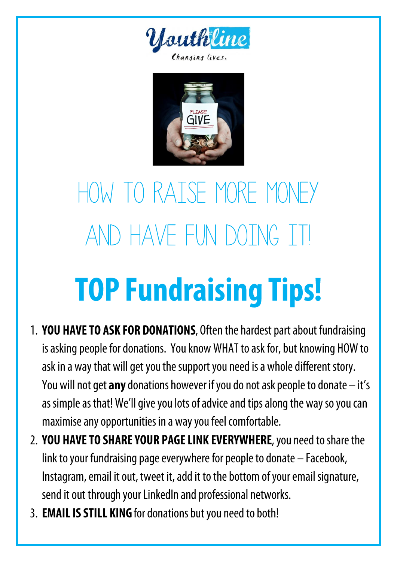



# HOW TO RAISE MORE MONEY AND HAVE FUN DOTNG IT! **TOP Fundraising Tips!**

- 1. YOU HAVE TO ASK FOR DONATIONS, Often the hardest part about fundraising is asking people for donations. You know WHAT to ask for, but knowing HOW to ask in a way that will get you the support you need is a whole different story. You will not get any donations however if you do not ask people to donate - it's as simple as that! We'll give you lots of advice and tips along the way so you can maximise any opportunities in a way you feel comfortable.
- 2. YOU HAVE TO SHARE YOUR PAGE LINK EVERYWHERE, you need to share the link to your fundraising page everywhere for people to donate - Facebook, Instagram, email it out, tweet it, add it to the bottom of your email signature, send it out through your LinkedIn and professional networks.
- 3. EMAIL IS STILL KING for donations but you need to both!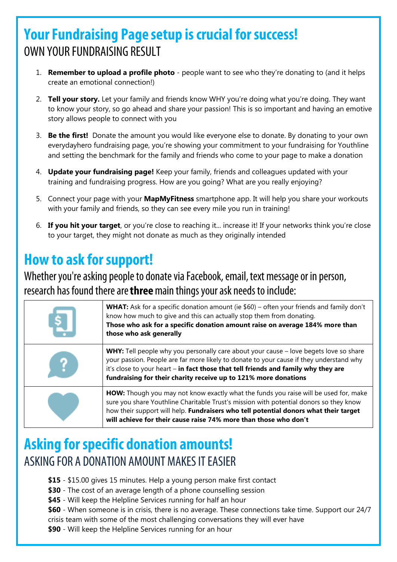# **Your Fundraising Page setup is crucial for success!** OWN YOUR FUNDRAISING RESULT

- 1. **Remember to upload a profile photo** people want to see who they're donating to (and it helps create an emotional connection!)
- 2. **Tell your story.** Let your family and friends know WHY you're doing what you're doing. They want to know your story, so go ahead and share your passion! This is so important and having an emotive story allows people to connect with you
- 3. **Be the first!** Donate the amount you would like everyone else to donate. By donating to your own everydayhero fundraising page, you're showing your commitment to your fundraising for Youthline and setting the benchmark for the family and friends who come to your page to make a donation
- 4. **Update your fundraising page!** Keep your family, friends and colleagues updated with your training and fundraising progress. How are you going? What are you really enjoying?
- 5. Connect your page with your **MapMyFitness** smartphone app. It will help you share your workouts with your family and friends, so they can see every mile you run in training!
- 6. **If you hit your target**, or you're close to reaching it... increase it! If your networks think you're close to your target, they might not donate as much as they originally intended

# **How to ask for support!**

Whether you're asking people to donate via Facebook, email, text message or in person, research has found there are three main things your ask needs to include:

| بڈر | <b>WHAT:</b> Ask for a specific donation amount (ie $$60$ ) – often your friends and family don't<br>know how much to give and this can actually stop them from donating.<br>Those who ask for a specific donation amount raise on average 184% more than<br>those who ask generally                                                             |
|-----|--------------------------------------------------------------------------------------------------------------------------------------------------------------------------------------------------------------------------------------------------------------------------------------------------------------------------------------------------|
|     | <b>WHY:</b> Tell people why you personally care about your cause – love begets love so share<br>your passion. People are far more likely to donate to your cause if they understand why<br>it's close to your heart - in fact those that tell friends and family why they are<br>fundraising for their charity receive up to 121% more donations |
|     | HOW: Though you may not know exactly what the funds you raise will be used for, make<br>sure you share Youthline Charitable Trust's mission with potential donors so they know<br>how their support will help. Fundraisers who tell potential donors what their target<br>will achieve for their cause raise 74% more than those who don't       |

#### **Asking for specific donation amounts!** ASKING FOR A DONATION AMOUNT MAKES IT FASIER

- **\$15** \$15.00 gives 15 minutes. Help a young person make first contact
- **\$30** The cost of an average length of a phone counselling session
- **\$45** Will keep the Helpline Services running for half an hour

**\$60** - When someone is in crisis, there is no average. These connections take time. Support our 24/7 crisis team with some of the most challenging conversations they will ever have

**\$90** - Will keep the Helpline Services running for an hour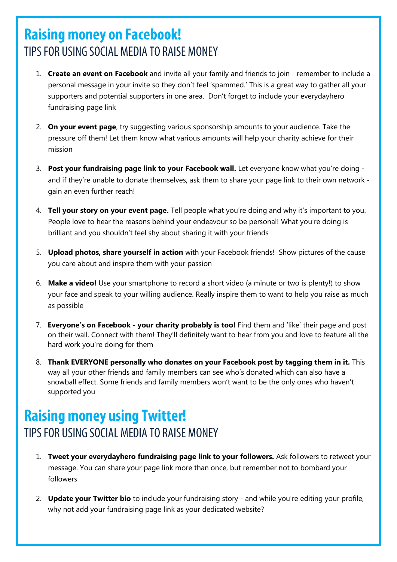#### **Raising money on Facebook!** TIPS FOR USING SOCIAL MEDIA TO RAISE MONEY

- 1. **Create an event on Facebook** and invite all your family and friends to join remember to include a personal message in your invite so they don't feel 'spammed.' This is a great way to gather all your supporters and potential supporters in one area. Don't forget to include your everydayhero fundraising page link
- 2. **On your event page**, try suggesting various sponsorship amounts to your audience. Take the pressure off them! Let them know what various amounts will help your charity achieve for their mission
- 3. **Post your fundraising page link to your Facebook wall.** Let everyone know what you're doing and if they're unable to donate themselves, ask them to share your page link to their own network gain an even further reach!
- 4. **Tell your story on your event page.** Tell people what you're doing and why it's important to you. People love to hear the reasons behind your endeavour so be personal! What you're doing is brilliant and you shouldn't feel shy about sharing it with your friends
- 5. **Upload photos, share yourself in action** with your Facebook friends! Show pictures of the cause you care about and inspire them with your passion
- 6. **Make a video!** Use your smartphone to record a short video (a minute or two is plenty!) to show your face and speak to your willing audience. Really inspire them to want to help you raise as much as possible
- 7. **Everyone's on Facebook - your charity probably is too!** Find them and 'like' their page and post on their wall. Connect with them! They'll definitely want to hear from you and love to feature all the hard work you're doing for them
- 8. **Thank EVERYONE personally who donates on your Facebook post by tagging them in it.** This way all your other friends and family members can see who's donated which can also have a snowball effect. Some friends and family members won't want to be the only ones who haven't supported you

# **Raising money using Twitter!** TIPS FOR USING SOCIAL MEDIA TO RAISE MONEY

- 1. **Tweet your everydayhero fundraising page link to your followers.** Ask followers to retweet your message. You can share your page link more than once, but remember not to bombard your followers
- 2. **Update your Twitter bio** to include your fundraising story and while you're editing your profile, why not add your fundraising page link as your dedicated website?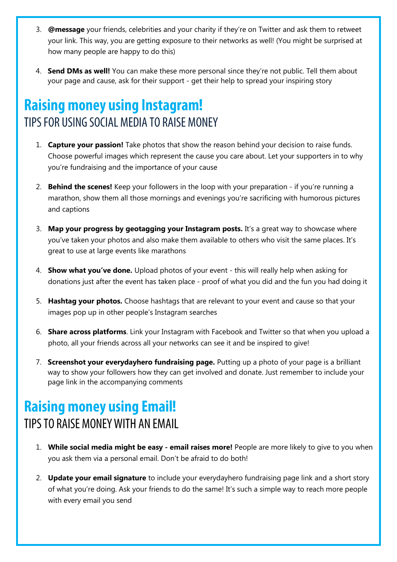- 3. **@message** your friends, celebrities and your charity if they're on Twitter and ask them to retweet your link. This way, you are getting exposure to their networks as well! (You might be surprised at how many people are happy to do this)
- 4. **Send DMs as well!** You can make these more personal since they're not public. Tell them about your page and cause, ask for their support - get their help to spread your inspiring story

#### **Raising money using Instagram!** TIPS FOR USING SOCIAL MEDIA TO RAISE MONEY

- 1. **Capture your passion!** Take photos that show the reason behind your decision to raise funds. Choose powerful images which represent the cause you care about. Let your supporters in to why you're fundraising and the importance of your cause
- 2. **Behind the scenes!** Keep your followers in the loop with your preparation if you're running a marathon, show them all those mornings and evenings you're sacrificing with humorous pictures and captions
- 3. **Map your progress by geotagging your Instagram posts.** It's a great way to showcase where you've taken your photos and also make them available to others who visit the same places. It's great to use at large events like marathons
- 4. **Show what you've done.** Upload photos of your event this will really help when asking for donations just after the event has taken place - proof of what you did and the fun you had doing it
- 5. **Hashtag your photos.** Choose hashtags that are relevant to your event and cause so that your images pop up in other people's Instagram searches
- 6. **Share across platforms**. Link your Instagram with Facebook and Twitter so that when you upload a photo, all your friends across all your networks can see it and be inspired to give!
- 7. **Screenshot your everydayhero fundraising page.** Putting up a photo of your page is a brilliant way to show your followers how they can get involved and donate. Just remember to include your page link in the accompanying comments

#### **Raising money using Email!** TIPS TO RAISE MONEY WITH AN FMAIL

- 1. **While social media might be easy - email raises more!** People are more likely to give to you when you ask them via a personal email. Don't be afraid to do both!
- 2. **Update your email signature** to include your everydayhero fundraising page link and a short story of what you're doing. Ask your friends to do the same! It's such a simple way to reach more people with every email you send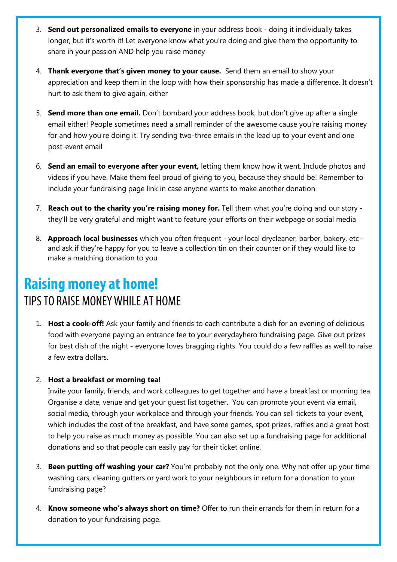- 3. **Send out personalized emails to everyone** in your address book doing it individually takes longer, but it's worth it! Let everyone know what you're doing and give them the opportunity to share in your passion AND help you raise money
- 4. **Thank everyone that's given money to your cause.** Send them an email to show your appreciation and keep them in the loop with how their sponsorship has made a difference. It doesn't hurt to ask them to give again, either
- 5. **Send more than one email.** Don't bombard your address book, but don't give up after a single email either! People sometimes need a small reminder of the awesome cause you're raising money for and how you're doing it. Try sending two-three emails in the lead up to your event and one post-event email
- 6. **Send an email to everyone after your event,** letting them know how it went. Include photos and videos if you have. Make them feel proud of giving to you, because they should be! Remember to include your fundraising page link in case anyone wants to make another donation
- 7. **Reach out to the charity you're raising money for.** Tell them what you're doing and our story they'll be very grateful and might want to feature your efforts on their webpage or social media
- 8. **Approach local businesses** which you often frequent your local drycleaner, barber, bakery, etc and ask if they're happy for you to leave a collection tin on their counter or if they would like to make a matching donation to you

# **Raising money at home!** TIPS TO RAISE MONEY WHILE AT HOME

1. **Host a cook-off!** Ask your family and friends to each contribute a dish for an evening of delicious food with everyone paying an entrance fee to your everydayhero fundraising page. Give out prizes for best dish of the night - everyone loves bragging rights. You could do a few raffles as well to raise a few extra dollars.

#### 2. **Host a breakfast or morning tea!**

Invite your family, friends, and work colleagues to get together and have a breakfast or morning tea. Organise a date, venue and get your guest list together. You can promote your event via email, social media, through your workplace and through your friends. You can sell tickets to your event, which includes the cost of the breakfast, and have some games, spot prizes, raffles and a great host to help you raise as much money as possible. You can also set up a fundraising page for additional donations and so that people can easily pay for their ticket online.

- 3. **Been putting off washing your car?** You're probably not the only one. Why not offer up your time washing cars, cleaning gutters or yard work to your neighbours in return for a donation to your fundraising page?
- 4. **Know someone who's always short on time?** Offer to run their errands for them in return for a donation to your fundraising page.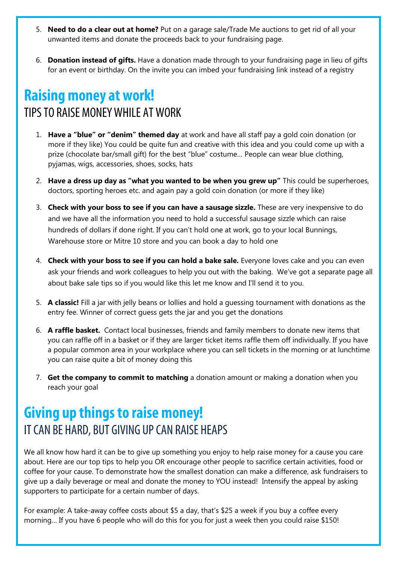- 5. **Need to do a clear out at home?** Put on a garage sale/Trade Me auctions to get rid of all your unwanted items and donate the proceeds back to your fundraising page.
- 6. **Donation instead of gifts.** Have a donation made through to your fundraising page in lieu of gifts for an event or birthday. On the invite you can imbed your fundraising link instead of a registry

# **Raising money at work!** TIPS TO RAISE MONEY WHILE AT WORK

- 1. **Have a "blue" or "denim" themed day** at work and have all staff pay a gold coin donation (or more if they like) You could be quite fun and creative with this idea and you could come up with a prize (chocolate bar/small gift) for the best "blue" costume… People can wear blue clothing, pyjamas, wigs, accessories, shoes, socks, hats
- 2. **Have a dress up day as "what you wanted to be when you grew up"** This could be superheroes, doctors, sporting heroes etc. and again pay a gold coin donation (or more if they like)
- 3. **Check with your boss to see if you can have a sausage sizzle.** These are very inexpensive to do and we have all the information you need to hold a successful sausage sizzle which can raise hundreds of dollars if done right. If you can't hold one at work, go to your local Bunnings, Warehouse store or Mitre 10 store and you can book a day to hold one
- 4. **Check with your boss to see if you can hold a bake sale.** Everyone loves cake and you can even ask your friends and work colleagues to help you out with the baking. We've got a separate page all about bake sale tips so if you would like this let me know and I'll send it to you.
- 5. **A classic!** Fill a jar with jelly beans or lollies and hold a guessing tournament with donations as the entry fee. Winner of correct guess gets the jar and you get the donations
- 6. **A raffle basket.** Contact local businesses, friends and family members to donate new items that you can raffle off in a basket or if they are larger ticket items raffle them off individually. If you have a popular common area in your workplace where you can sell tickets in the morning or at lunchtime you can raise quite a bit of money doing this
- 7. **Get the company to commit to matching** a donation amount or making a donation when you reach your goal

# **Giving up things to raise money!** IT CAN BE HARD, BUT GIVING UP CAN RAISE HEAPS

We all know how hard it can be to give up something you enjoy to help raise money for a cause you care about. Here are our top tips to help you OR encourage other people to sacrifice certain activities, food or coffee for your cause. To demonstrate how the smallest donation can make a difference, ask fundraisers to give up a daily beverage or meal and donate the money to YOU instead! Intensify the appeal by asking supporters to participate for a certain number of days.

For example: A take-away coffee costs about \$5 a day, that's \$25 a week if you buy a coffee every morning… If you have 6 people who will do this for you for just a week then you could raise \$150!